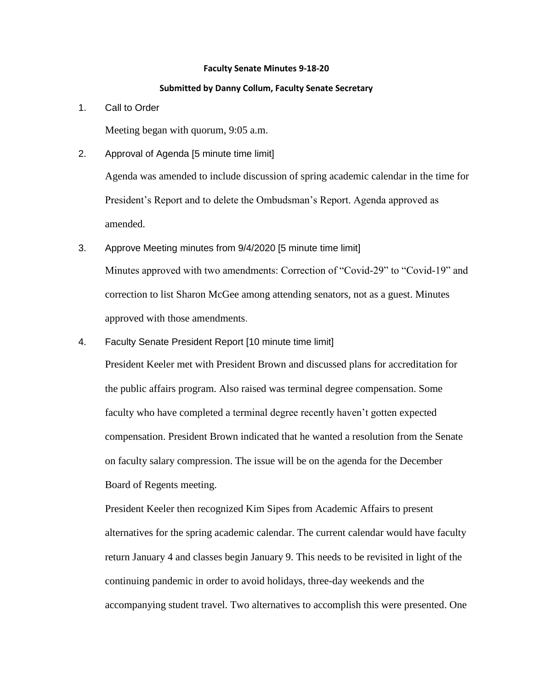#### **Faculty Senate Minutes 9-18-20**

#### **Submitted by Danny Collum, Faculty Senate Secretary**

1. Call to Order

Meeting began with quorum, 9:05 a.m.

2. Approval of Agenda [5 minute time limit]

Agenda was amended to include discussion of spring academic calendar in the time for President's Report and to delete the Ombudsman's Report. Agenda approved as amended.

- 3. Approve Meeting minutes from 9/4/2020 [5 minute time limit] Minutes approved with two amendments: Correction of "Covid-29" to "Covid-19" and correction to list Sharon McGee among attending senators, not as a guest. Minutes approved with those amendments.
- 4. Faculty Senate President Report [10 minute time limit]

President Keeler met with President Brown and discussed plans for accreditation for the public affairs program. Also raised was terminal degree compensation. Some faculty who have completed a terminal degree recently haven't gotten expected compensation. President Brown indicated that he wanted a resolution from the Senate on faculty salary compression. The issue will be on the agenda for the December Board of Regents meeting.

President Keeler then recognized Kim Sipes from Academic Affairs to present alternatives for the spring academic calendar. The current calendar would have faculty return January 4 and classes begin January 9. This needs to be revisited in light of the continuing pandemic in order to avoid holidays, three-day weekends and the accompanying student travel. Two alternatives to accomplish this were presented. One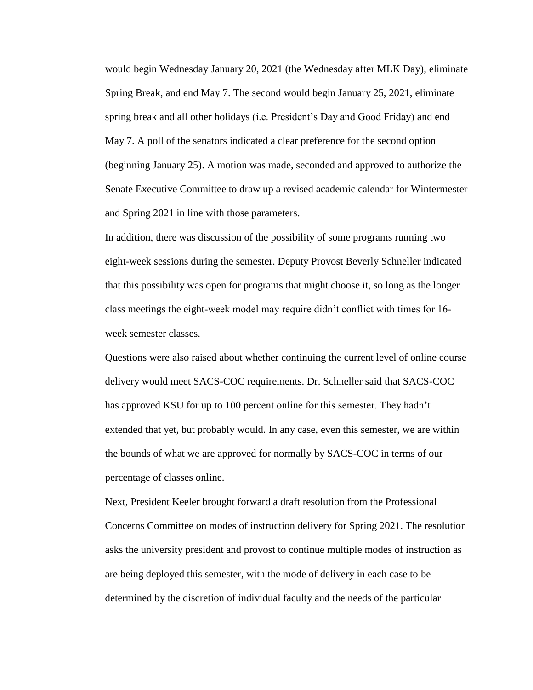would begin Wednesday January 20, 2021 (the Wednesday after MLK Day), eliminate Spring Break, and end May 7. The second would begin January 25, 2021, eliminate spring break and all other holidays (i.e. President's Day and Good Friday) and end May 7. A poll of the senators indicated a clear preference for the second option (beginning January 25). A motion was made, seconded and approved to authorize the Senate Executive Committee to draw up a revised academic calendar for Wintermester and Spring 2021 in line with those parameters.

In addition, there was discussion of the possibility of some programs running two eight-week sessions during the semester. Deputy Provost Beverly Schneller indicated that this possibility was open for programs that might choose it, so long as the longer class meetings the eight-week model may require didn't conflict with times for 16 week semester classes.

Questions were also raised about whether continuing the current level of online course delivery would meet SACS-COC requirements. Dr. Schneller said that SACS-COC has approved KSU for up to 100 percent online for this semester. They hadn't extended that yet, but probably would. In any case, even this semester, we are within the bounds of what we are approved for normally by SACS-COC in terms of our percentage of classes online.

Next, President Keeler brought forward a draft resolution from the Professional Concerns Committee on modes of instruction delivery for Spring 2021. The resolution asks the university president and provost to continue multiple modes of instruction as are being deployed this semester, with the mode of delivery in each case to be determined by the discretion of individual faculty and the needs of the particular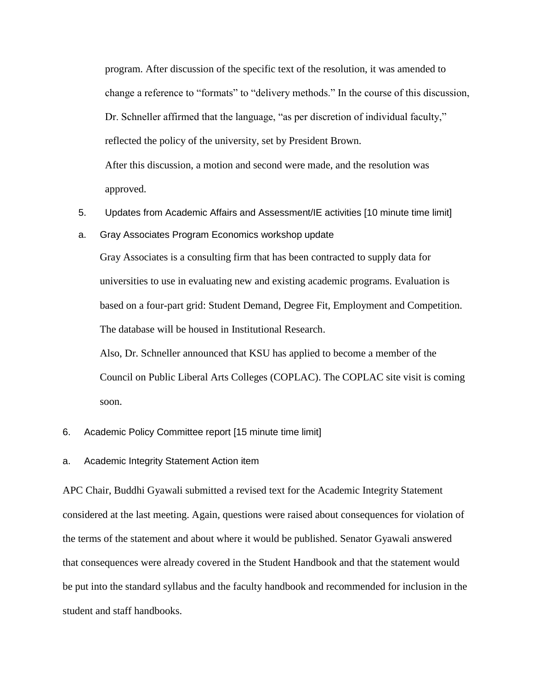program. After discussion of the specific text of the resolution, it was amended to change a reference to "formats" to "delivery methods." In the course of this discussion, Dr. Schneller affirmed that the language, "as per discretion of individual faculty," reflected the policy of the university, set by President Brown. After this discussion, a motion and second were made, and the resolution was approved.

- 5. Updates from Academic Affairs and Assessment/IE activities [10 minute time limit]
- a. Gray Associates Program Economics workshop update

Gray Associates is a consulting firm that has been contracted to supply data for universities to use in evaluating new and existing academic programs. Evaluation is based on a four-part grid: Student Demand, Degree Fit, Employment and Competition. The database will be housed in Institutional Research.

Also, Dr. Schneller announced that KSU has applied to become a member of the Council on Public Liberal Arts Colleges (COPLAC). The COPLAC site visit is coming soon.

- 6. Academic Policy Committee report [15 minute time limit]
- a. Academic Integrity Statement Action item

APC Chair, Buddhi Gyawali submitted a revised text for the Academic Integrity Statement considered at the last meeting. Again, questions were raised about consequences for violation of the terms of the statement and about where it would be published. Senator Gyawali answered that consequences were already covered in the Student Handbook and that the statement would be put into the standard syllabus and the faculty handbook and recommended for inclusion in the student and staff handbooks.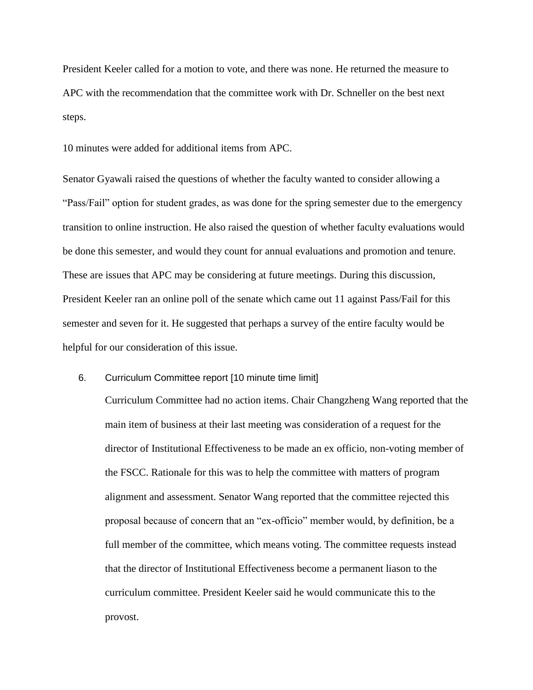President Keeler called for a motion to vote, and there was none. He returned the measure to APC with the recommendation that the committee work with Dr. Schneller on the best next steps.

10 minutes were added for additional items from APC.

Senator Gyawali raised the questions of whether the faculty wanted to consider allowing a "Pass/Fail" option for student grades, as was done for the spring semester due to the emergency transition to online instruction. He also raised the question of whether faculty evaluations would be done this semester, and would they count for annual evaluations and promotion and tenure. These are issues that APC may be considering at future meetings. During this discussion, President Keeler ran an online poll of the senate which came out 11 against Pass/Fail for this semester and seven for it. He suggested that perhaps a survey of the entire faculty would be helpful for our consideration of this issue.

## 6. Curriculum Committee report [10 minute time limit]

Curriculum Committee had no action items. Chair Changzheng Wang reported that the main item of business at their last meeting was consideration of a request for the director of Institutional Effectiveness to be made an ex officio, non-voting member of the FSCC. Rationale for this was to help the committee with matters of program alignment and assessment. Senator Wang reported that the committee rejected this proposal because of concern that an "ex-officio" member would, by definition, be a full member of the committee, which means voting. The committee requests instead that the director of Institutional Effectiveness become a permanent liason to the curriculum committee. President Keeler said he would communicate this to the provost.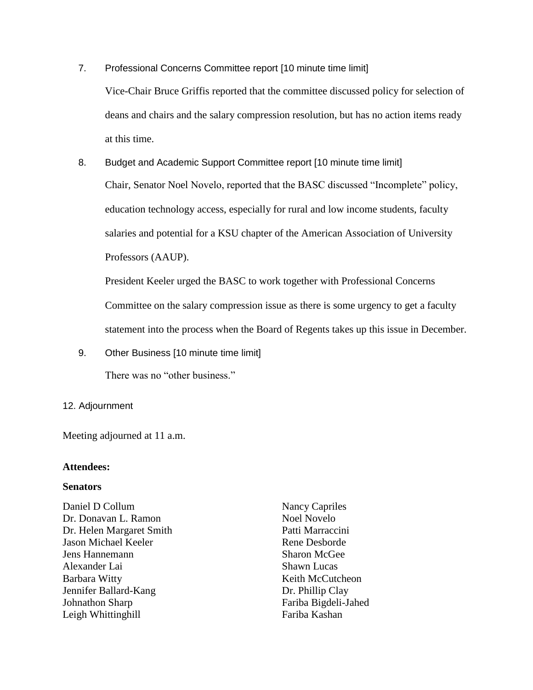- 7. Professional Concerns Committee report [10 minute time limit] Vice-Chair Bruce Griffis reported that the committee discussed policy for selection of deans and chairs and the salary compression resolution, but has no action items ready at this time.
- 8. Budget and Academic Support Committee report [10 minute time limit] Chair, Senator Noel Novelo, reported that the BASC discussed "Incomplete" policy, education technology access, especially for rural and low income students, faculty salaries and potential for a KSU chapter of the American Association of University Professors (AAUP).

President Keeler urged the BASC to work together with Professional Concerns Committee on the salary compression issue as there is some urgency to get a faculty statement into the process when the Board of Regents takes up this issue in December.

9. Other Business [10 minute time limit]

There was no "other business."

## 12. Adjournment

Meeting adjourned at 11 a.m.

# **Attendees:**

## **Senators**

Daniel D Collum Dr. Donavan L. Ramon Dr. Helen Margaret Smith Jason Michael Keeler Jens Hannemann Alexander Lai Barbara Witty Jennifer Ballard-Kang Johnathon Sharp Leigh Whittinghill

Nancy Capriles Noel Novelo Patti Marraccini Rene Desborde Sharon McGee Shawn Lucas Keith McCutcheon Dr. Phillip Clay Fariba Bigdeli-Jahed Fariba Kashan